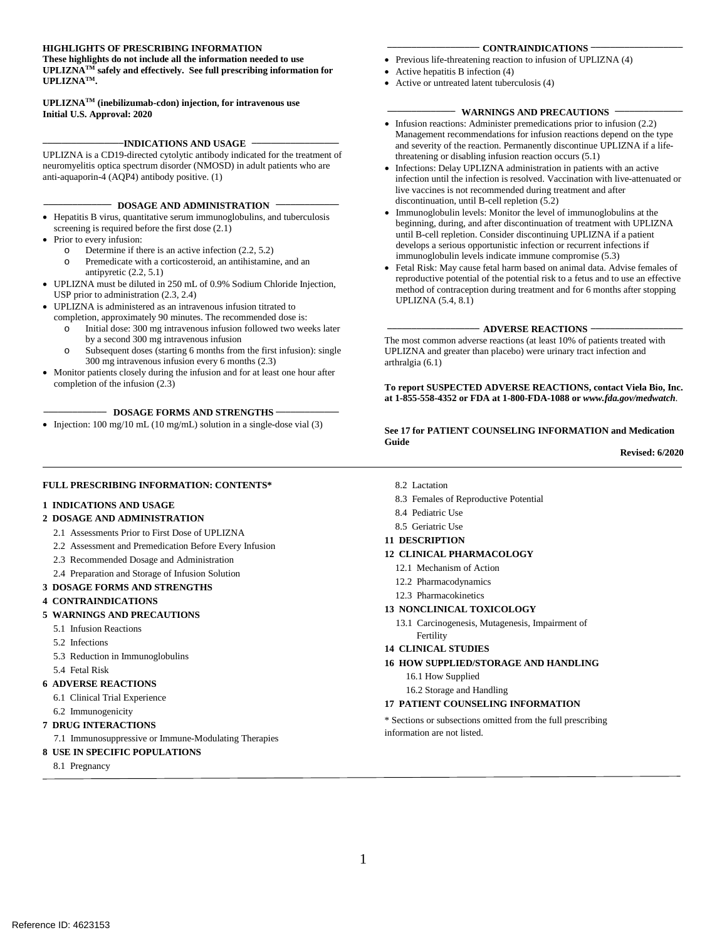# **HIGHLIGHTS OF PRESCRIBING INFORMATION**<br>These highlights do not include all the information needed to use

**These highlights do not include all the information needed to use •** Previous life-threatening reaction to infusion of UPLIZNA (4) **UPLIZNA<sup>TM</sup>**.  **safely and effectively. See full prescribing information for**  $**UPLIZNA**<sup>TM</sup>$ **.** 

**Initial U.S. Approval: 2020 UPLIZNATM (inebilizumab-cdon) injection, for intravenous use** 

**INDICATIONS AND USAGE** 

 UPLIZNA is a CD19-directed cytolytic antibody indicated for the treatment of anti-aquaporin-4 (AQP4) antibody positive. (1) neuromyelitis optica spectrum disorder (NMOSD) in adult patients who are

**\_\_\_\_\_\_\_\_\_\_\_\_\_\_\_\_\_\_** 

#### **\_\_\_\_\_\_\_\_\_\_\_\_\_\_ \_\_\_\_\_\_\_\_\_\_\_\_\_ DOSAGE AND ADMINISTRATION**

- screening is required before the first dose (2.1) • Hepatitis B virus, quantitative serum immunoglobulins, and tuberculosis
- Prior to every infusion:

**\_\_\_\_\_\_\_\_\_\_\_\_\_** 

- $\circ$  Determine if there is an active infection (2.2, 5.2)<br>  $\circ$  Premedicate with a corticosteroid, an antihistaming
- o Premedicate with a corticosteroid, an antihistamine, and an antipyretic (2.2, 5.1)
- • UPLIZNA must be diluted in 250 mL of 0.9% Sodium Chloride Injection, USP prior to administration (2.3, 2.4)
- UPLIZNA is administered as an intravenous infusion titrated to
- completion, approximately 90 minutes. The recommended dose is:
	- o Initial dose: 300 mg intravenous infusion followed two weeks later by a second 300 mg intravenous infusion
	- 300 mg intravenous infusion every 6 months (2.3) Subsequent doses (starting 6 months from the first infusion): single
- completion of the infusion (2.3) Monitor patients closely during the infusion and for at least one hour after

#### - DOSAGE FORMS AND STRENGTHS -

• Injection: 100 mg/10 mL (10 mg/mL) solution in a single-dose vial (3)

#### **CONTRAINDICATIONS**

- 
- Active hepatitis B infection (4)
- 

#### **\_\_\_\_\_\_\_\_\_\_\_\_\_\_ \_\_\_\_\_\_\_\_\_\_\_\_\_\_ WARNINGS AND PRECAUTIONS**

- threatening or disabling infusion reaction occurs (5.1) • Infusion reactions: Administer premedications prior to infusion (2.2) Management recommendations for infusion reactions depend on the type and severity of the reaction. Permanently discontinue UPLIZNA if a life-
- • Infections: Delay UPLIZNA administration in patients with an active live vaccines is not recommended during treatment and after infection until the infection is resolved. Vaccination with live-attenuated or discontinuation, until B-cell repletion (5.2)
- until B-cell repletion. Consider discontinuing UPLIZNA if a patient immunoglobulin levels indicate immune compromise (5.3) Immunoglobulin levels: Monitor the level of immunoglobulins at the beginning, during, and after discontinuation of treatment with UPLIZNA develops a serious opportunistic infection or recurrent infections if
- UPLIZNA (5.4, 8.1) • Fetal Risk: May cause fetal harm based on animal data. Advise females of reproductive potential of the potential risk to a fetus and to use an effective method of contraception during treatment and for 6 months after stopping

#### **\_\_\_\_\_\_\_\_\_\_\_\_\_\_\_\_\_\_\_ \_\_\_\_\_\_\_\_\_\_\_\_\_\_\_\_\_\_\_ ADVERSE REACTIONS**

 The most common adverse reactions (at least 10% of patients treated with UPLIZNA and greater than placebo) were urinary tract infection and arthralgia (6.1)

**To report SUSPECTED ADVERSE REACTIONS, contact Viela Bio, Inc. at 1-855-558-4352 or FDA at 1-800-FDA-1088 or** *www.fda.gov/medwatch*.

# **See 17 for PATIENT COUNSELING INFORMATION and Medication Guide Revised: 6/2020**

#### **FULL PRESCRIBING INFORMATION: CONTENTS\***

#### **1 INDICATIONS AND USAGE**

#### **2 DOSAGE AND ADMINISTRATION**

- 2.1 Assessments Prior to First Dose of UPLIZNA
- 2.2 Assessment and Premedication Before Every Infusion
- 2.3 Recommended Dosage and Administration
- 2.4 Preparation and Storage of Infusion Solution

#### **3 DOSAGE FORMS AND STRENGTHS**

**4 CONTRAINDICATIONS** 

#### **5 WARNINGS AND PRECAUTIONS**

- 5.1 Infusion Reactions
- 5.2 Infections
- 5.3 Reduction in Immunoglobulins
- 5.4 Fetal Risk

#### **6 ADVERSE REACTIONS**

- 6.1 Clinical Trial Experience
- 6.2 Immunogenicity

#### **7 DRUG INTERACTIONS**

7.1 Immunosuppressive or Immune-Modulating Therapies

#### **8 USE IN SPECIFIC POPULATIONS**

8.1 Pregnancy

- 8.2 Lactation
- 8.3 Females of Reproductive Potential
- 8.4 Pediatric Use
- 8.5 Geriatric Use

#### **11 DESCRIPTION**

#### **12 CLINICAL PHARMACOLOGY**

- 12.1 Mechanism of Action
- 12.2 Pharmacodynamics
- 12.3 Pharmacokinetics

#### **13 NONCLINICAL TOXICOLOGY**

 13.1 Carcinogenesis, Mutagenesis, Impairment of Fertility

#### **14 CLINICAL STUDIES**

- **16 HOW SUPPLIED/STORAGE AND HANDLING** 
	- 16.1 How Supplied
	- 16.2 Storage and Handling

#### **17 PATIENT COUNSELING INFORMATION**

\* Sections or subsections omitted from the full prescribing information are not listed.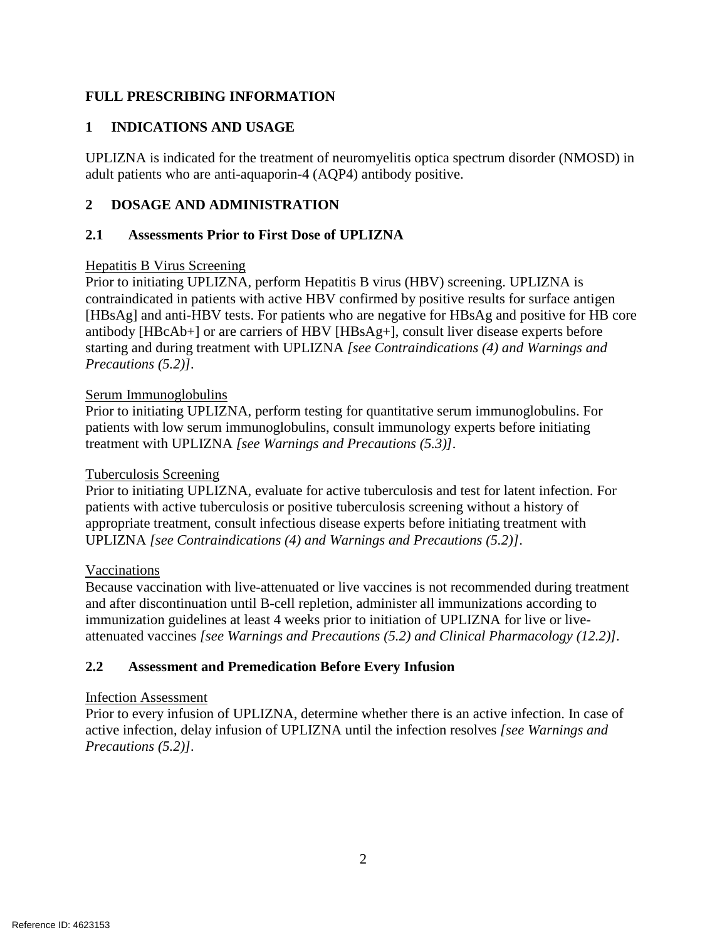### **FULL PRESCRIBING INFORMATION**

### **1 INDICATIONS AND USAGE**

UPLIZNA is indicated for the treatment of neuromyelitis optica spectrum disorder (NMOSD) in adult patients who are anti-aquaporin-4 (AQP4) antibody positive.

### **2 DOSAGE AND ADMINISTRATION**

### **2.1 Assessments Prior to First Dose of UPLIZNA**

#### Hepatitis B Virus Screening

 [HBsAg] and anti-HBV tests. For patients who are negative for HBsAg and positive for HB core Prior to initiating UPLIZNA, perform Hepatitis B virus (HBV) screening. UPLIZNA is contraindicated in patients with active HBV confirmed by positive results for surface antigen antibody [HBcAb+] or are carriers of HBV [HBsAg+], consult liver disease experts before starting and during treatment with UPLIZNA *[see Contraindications (4) and Warnings and Precautions (5.2)].* 

#### Serum Immunoglobulins

 patients with low serum immunoglobulins, consult immunology experts before initiating  treatment with UPLIZNA *[see Warnings and Precautions (5.3)].*  Prior to initiating UPLIZNA, perform testing for quantitative serum immunoglobulins. For

#### Tuberculosis Screening

Prior to initiating UPLIZNA, evaluate for active tuberculosis and test for latent infection. For patients with active tuberculosis or positive tuberculosis screening without a history of appropriate treatment, consult infectious disease experts before initiating treatment with UPLIZNA *[see Contraindications (4) and Warnings and Precautions (5.2)]*.

#### Vaccinations

Because vaccination with live-attenuated or live vaccines is not recommended during treatment and after discontinuation until B-cell repletion, administer all immunizations according to immunization guidelines at least 4 weeks prior to initiation of UPLIZNA for live or liveattenuated vaccines *[see Warnings and Precautions (5.2) and Clinical Pharmacology (12.2)].* 

#### **2.2 Assessment and Premedication Before Every Infusion**

#### Infection Assessment

Prior to every infusion of UPLIZNA, determine whether there is an active infection. In case of active infection, delay infusion of UPLIZNA until the infection resolves *[see Warnings and Precautions (5.2)].*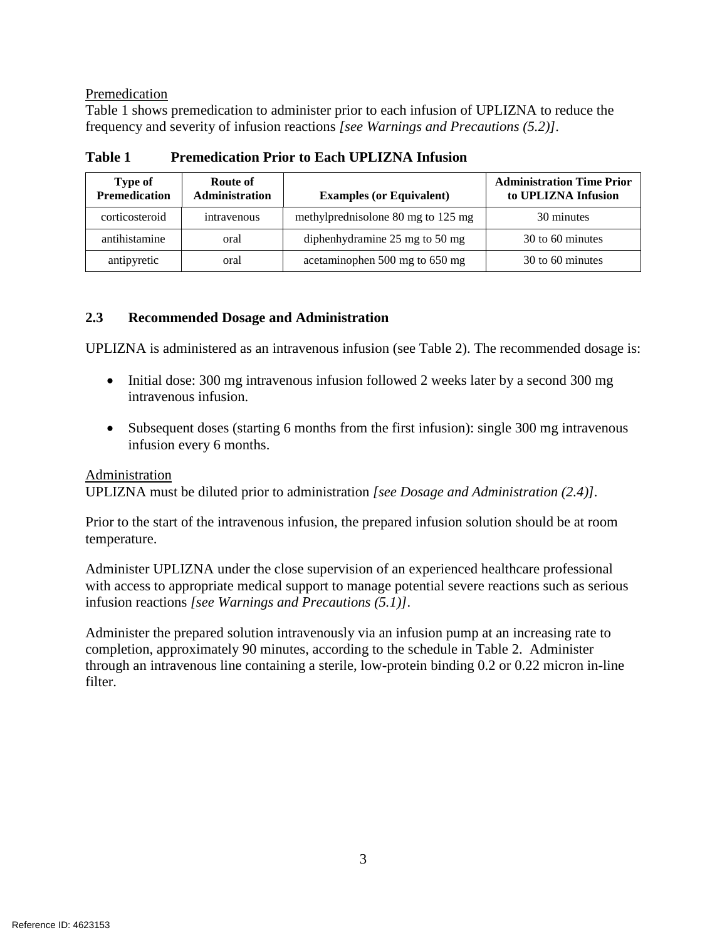#### Premedication

 Table 1 shows premedication to administer prior to each infusion of UPLIZNA to reduce the frequency and severity of infusion reactions *[see Warnings and Precautions (5.2)].* 

| Type of<br><b>Premedication</b> | Route of<br><b>Administration</b> | <b>Examples (or Equivalent)</b>    | <b>Administration Time Prior</b><br>to UPLIZNA Infusion |
|---------------------------------|-----------------------------------|------------------------------------|---------------------------------------------------------|
| corticosteroid                  | intravenous                       | methylprednisolone 80 mg to 125 mg | 30 minutes                                              |
| antihistamine                   | oral                              | diphenhydramine 25 mg to 50 mg     | 30 to 60 minutes                                        |
| antipyretic                     | oral                              | acetaminophen 500 mg to 650 mg     | 30 to 60 minutes                                        |

 **Table 1 Premedication Prior to Each UPLIZNA Infusion** 

### **2.3 Recommended Dosage and Administration**

UPLIZNA is administered as an intravenous infusion (see Table 2). The recommended dosage is:

- intravenous infusion. • Initial dose: 300 mg intravenous infusion followed 2 weeks later by a second 300 mg
- Subsequent doses (starting 6 months from the first infusion): single 300 mg intravenous infusion every 6 months.

#### Administration

UPLIZNA must be diluted prior to administration *[see Dosage and Administration (2.4)].*

Prior to the start of the intravenous infusion, the prepared infusion solution should be at room temperature.

 infusion reactions *[see Warnings and Precautions (5.1)].* Administer UPLIZNA under the close supervision of an experienced healthcare professional with access to appropriate medical support to manage potential severe reactions such as serious

filter. Administer the prepared solution intravenously via an infusion pump at an increasing rate to completion, approximately 90 minutes, according to the schedule in Table 2. Administer through an intravenous line containing a sterile, low-protein binding 0.2 or 0.22 micron in-line filter.<br>3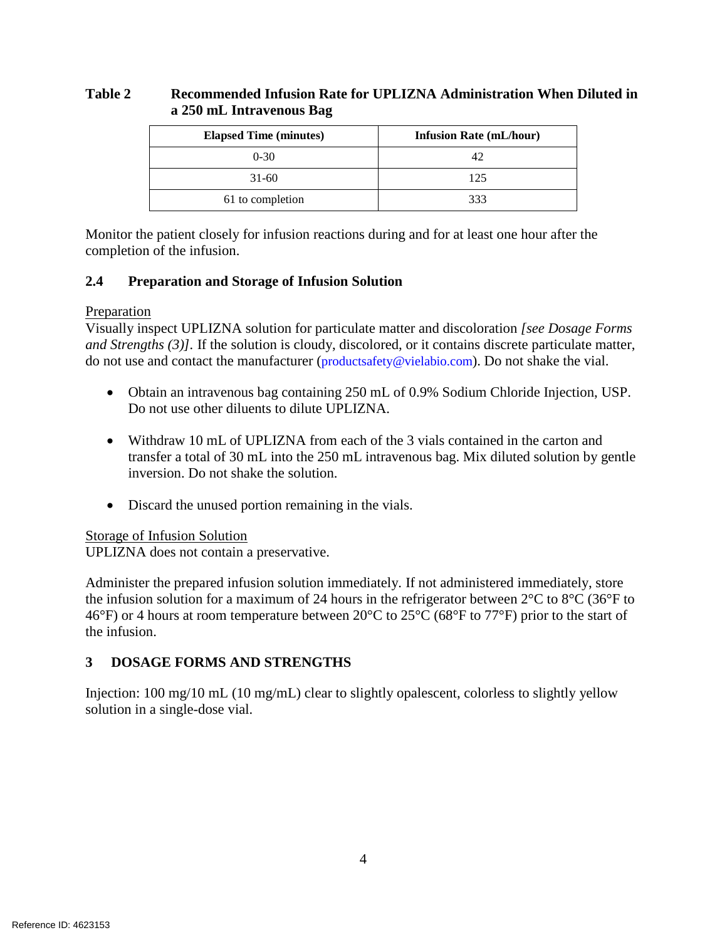# **Table 2 Recommended Infusion Rate for UPLIZNA Administration When Diluted in a 250 mL Intravenous Bag**

| <b>Elapsed Time (minutes)</b> | <b>Infusion Rate (mL/hour)</b> |
|-------------------------------|--------------------------------|
| $0 - 30$                      |                                |
| 31-60                         | 125                            |
| 61 to completion              | 333                            |

Monitor the patient closely for infusion reactions during and for at least one hour after the completion of the infusion.

# **2.4 Preparation and Storage of Infusion Solution**

### Preparation

 *and Strengths (3)].* If the solution is cloudy, discolored, or it contains discrete particulate matter, Visually inspect UPLIZNA solution for particulate matter and discoloration *[see Dosage Forms*  do not use and contact the manufacturer [\(productsafety@vielabio.com\)](mailto:productsafety@vielabio.com). Do not shake the vial.

- Obtain an intravenous bag containing 250 mL of 0.9% Sodium Chloride Injection, USP. Do not use other diluents to dilute UPLIZNA.
- transfer a total of 30 mL into the 250 mL intravenous bag. Mix diluted solution by gentle • Withdraw 10 mL of UPLIZNA from each of the 3 vials contained in the carton and inversion. Do not shake the solution.
- Discard the unused portion remaining in the vials.

#### **Storage of Infusion Solution**

UPLIZNA does not contain a preservative.

the infusion solution for a maximum of 24 hours in the refrigerator between  $2^{\circ}C$  to  $8^{\circ}C$  (36 $^{\circ}F$  to 46°F) or 4 hours at room temperature between 20°C to 25°C (68°F to 77°F) prior to the start of Administer the prepared infusion solution immediately. If not administered immediately, store the infusion.

# **3 DOSAGE FORMS AND STRENGTHS**

 Injection: 100 mg/10 mL (10 mg/mL) clear to slightly opalescent, colorless to slightly yellow solution in a single-dose vial.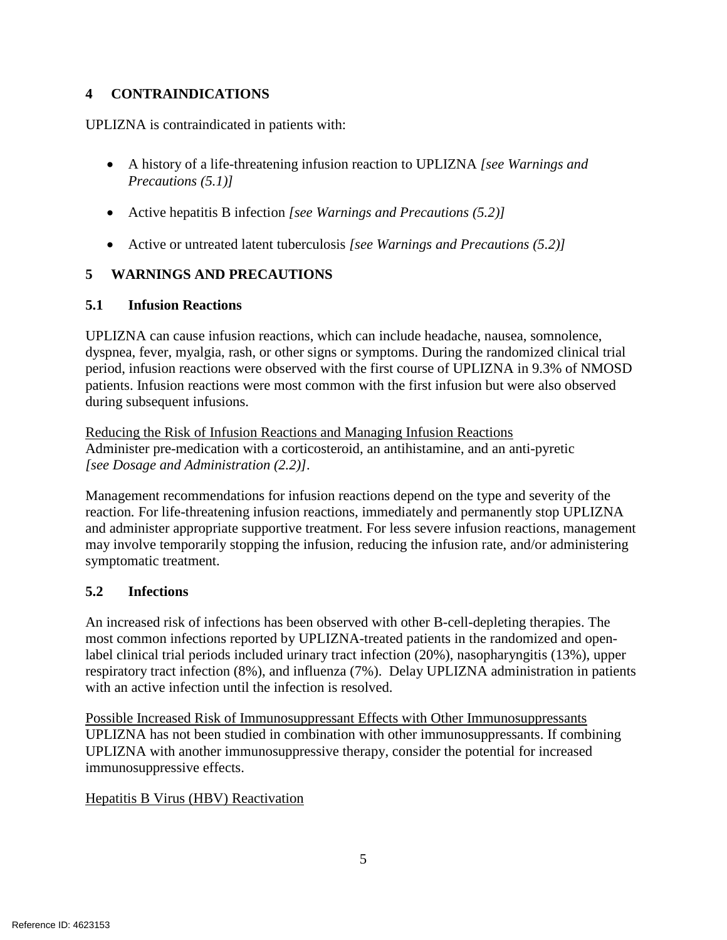# **4 CONTRAINDICATIONS**

UPLIZNA is contraindicated in patients with:

- *Precautions (5.1)]* • A history of a life-threatening infusion reaction to UPLIZNA *[see Warnings and*
- • Active hepatitis B infection *[see Warnings and Precautions (5.2)]*
- • Active or untreated latent tuberculosis *[see Warnings and Precautions (5.2)]*

# **5 WARNINGS AND PRECAUTIONS**

# **5.1 Infusion Reactions**

 dyspnea, fever, myalgia, rash, or other signs or symptoms. During the randomized clinical trial period, infusion reactions were observed with the first course of UPLIZNA in 9.3% of NMOSD patients. Infusion reactions were most common with the first infusion but were also observed UPLIZNA can cause infusion reactions, which can include headache, nausea, somnolence, during subsequent infusions.

Reducing the Risk of Infusion Reactions and Managing Infusion Reactions Administer pre-medication with a corticosteroid, an antihistamine, and an anti-pyretic *[see Dosage and Administration (2.2)].* 

Management recommendations for infusion reactions depend on the type and severity of the reaction*.* For life-threatening infusion reactions, immediately and permanently stop UPLIZNA and administer appropriate supportive treatment. For less severe infusion reactions, management may involve temporarily stopping the infusion, reducing the infusion rate, and/or administering symptomatic treatment.

# **5.2 Infections**

An increased risk of infections has been observed with other B-cell-depleting therapies. The most common infections reported by UPLIZNA-treated patients in the randomized and openlabel clinical trial periods included urinary tract infection (20%), nasopharyngitis (13%), upper respiratory tract infection (8%), and influenza (7%). Delay UPLIZNA administration in patients with an active infection until the infection is resolved.

Possible Increased Risk of Immunosuppressant Effects with Other Immunosuppressants UPLIZNA has not been studied in combination with other immunosuppressants. If combining UPLIZNA with another immunosuppressive therapy, consider the potential for increased immunosuppressive effects.

# Hepatitis B Virus (HBV) Reactivation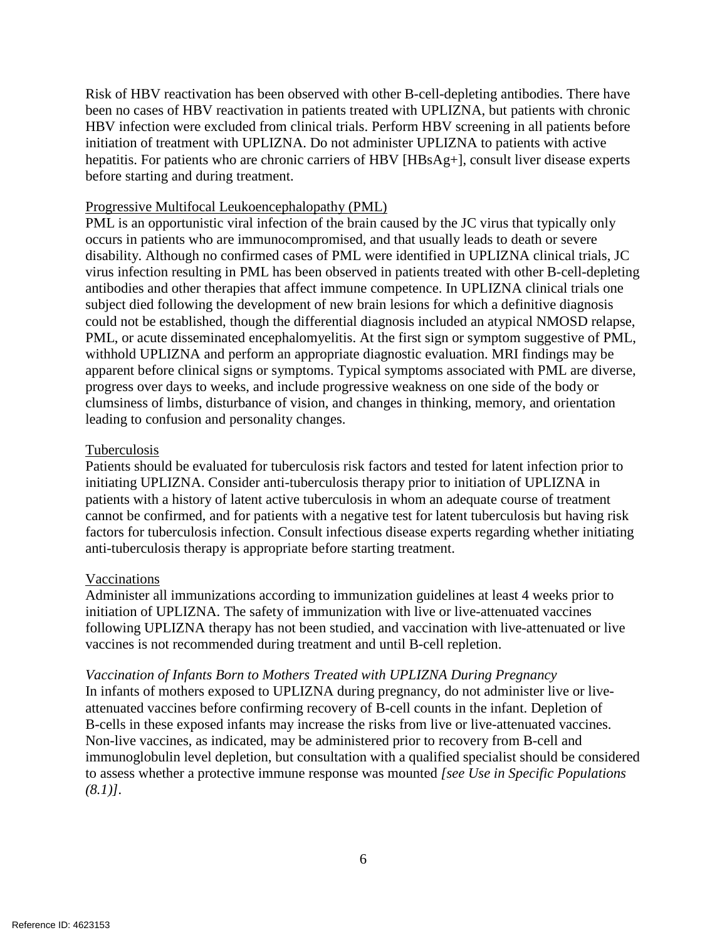hepatitis. For patients who are chronic carriers of HBV [HBsAg+], consult liver disease experts Risk of HBV reactivation has been observed with other B-cell-depleting antibodies. There have been no cases of HBV reactivation in patients treated with UPLIZNA, but patients with chronic HBV infection were excluded from clinical trials. Perform HBV screening in all patients before initiation of treatment with UPLIZNA. Do not administer UPLIZNA to patients with active before starting and during treatment.

#### Progressive Multifocal Leukoencephalopathy (PML)

 antibodies and other therapies that affect immune competence. In UPLIZNA clinical trials one apparent before clinical signs or symptoms. Typical symptoms associated with PML are diverse, PML is an opportunistic viral infection of the brain caused by the JC virus that typically only occurs in patients who are immunocompromised, and that usually leads to death or severe disability. Although no confirmed cases of PML were identified in UPLIZNA clinical trials, JC virus infection resulting in PML has been observed in patients treated with other B-cell-depleting subject died following the development of new brain lesions for which a definitive diagnosis could not be established, though the differential diagnosis included an atypical NMOSD relapse, PML, or acute disseminated encephalomyelitis. At the first sign or symptom suggestive of PML, withhold UPLIZNA and perform an appropriate diagnostic evaluation. MRI findings may be progress over days to weeks, and include progressive weakness on one side of the body or clumsiness of limbs, disturbance of vision, and changes in thinking, memory, and orientation leading to confusion and personality changes.

#### Tuberculosis

Patients should be evaluated for tuberculosis risk factors and tested for latent infection prior to initiating UPLIZNA. Consider anti-tuberculosis therapy prior to initiation of UPLIZNA in patients with a history of latent active tuberculosis in whom an adequate course of treatment cannot be confirmed, and for patients with a negative test for latent tuberculosis but having risk factors for tuberculosis infection. Consult infectious disease experts regarding whether initiating anti-tuberculosis therapy is appropriate before starting treatment.

#### Vaccinations

Administer all immunizations according to immunization guidelines at least 4 weeks prior to initiation of UPLIZNA. The safety of immunization with live or live-attenuated vaccines following UPLIZNA therapy has not been studied, and vaccination with live-attenuated or live vaccines is not recommended during treatment and until B-cell repletion.

 *Vaccination of Infants Born to Mothers Treated with UPLIZNA During Pregnancy* In infants of mothers exposed to UPLIZNA during pregnancy, do not administer live or liveattenuated vaccines before confirming recovery of B-cell counts in the infant. Depletion of B-cells in these exposed infants may increase the risks from live or live-attenuated vaccines. Non-live vaccines, as indicated, may be administered prior to recovery from B-cell and immunoglobulin level depletion, but consultation with a qualified specialist should be considered to assess whether a protective immune response was mounted *[see Use in Specific Populations (8.1)].*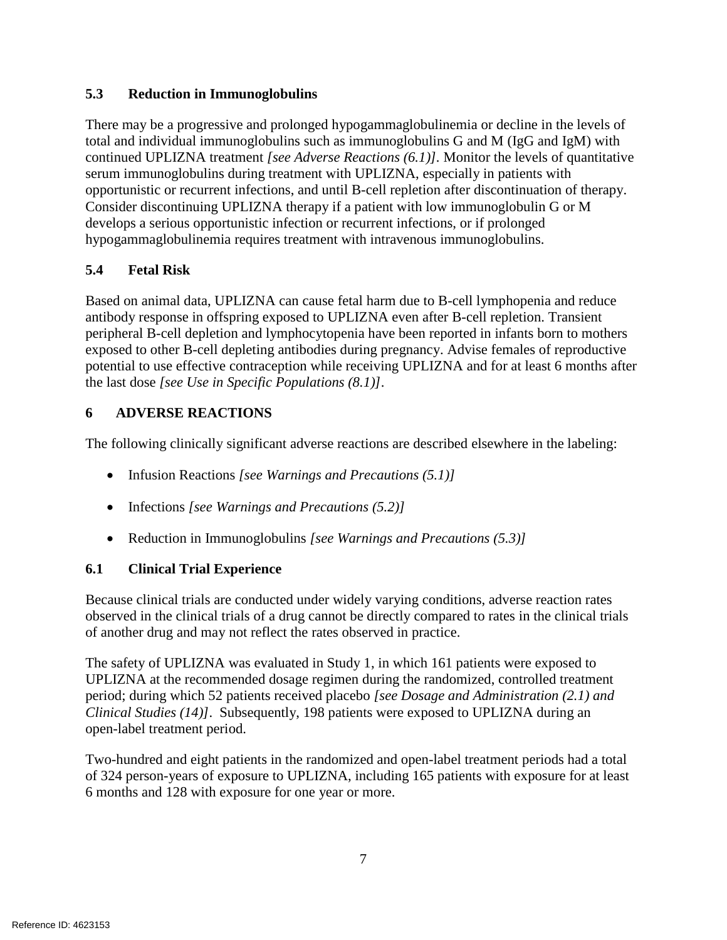# **5.3 Reduction in Immunoglobulins**

 total and individual immunoglobulins such as immunoglobulins G and M (IgG and IgM) with continued UPLIZNA treatment *[see Adverse Reactions (6.1)].* Monitor the levels of quantitative There may be a progressive and prolonged hypogammaglobulinemia or decline in the levels of serum immunoglobulins during treatment with UPLIZNA, especially in patients with opportunistic or recurrent infections, and until B-cell repletion after discontinuation of therapy. Consider discontinuing UPLIZNA therapy if a patient with low immunoglobulin G or M develops a serious opportunistic infection or recurrent infections, or if prolonged hypogammaglobulinemia requires treatment with intravenous immunoglobulins.

# **5.4 Fetal Risk**

 Based on animal data, UPLIZNA can cause fetal harm due to B-cell lymphopenia and reduce antibody response in offspring exposed to UPLIZNA even after B-cell repletion. Transient peripheral B-cell depletion and lymphocytopenia have been reported in infants born to mothers exposed to other B-cell depleting antibodies during pregnancy. Advise females of reproductive potential to use effective contraception while receiving UPLIZNA and for at least 6 months after the last dose *[see Use in Specific Populations (8.1)]*.

# **6 ADVERSE REACTIONS**

The following clinically significant adverse reactions are described elsewhere in the labeling:

- Infusion Reactions *[see Warnings and Precautions (5.1)]*
- Infections *[see Warnings and Precautions (5.2)]*
- Reduction in Immunoglobulins *[see Warnings and Precautions (5.3)]*

# **6.1 Clinical Trial Experience**

Because clinical trials are conducted under widely varying conditions, adverse reaction rates observed in the clinical trials of a drug cannot be directly compared to rates in the clinical trials of another drug and may not reflect the rates observed in practice.

 period; during which 52 patients received placebo *[see Dosage and Administration (2.1) and*  The safety of UPLIZNA was evaluated in Study 1, in which 161 patients were exposed to UPLIZNA at the recommended dosage regimen during the randomized, controlled treatment *Clinical Studies (14)]*. Subsequently, 198 patients were exposed to UPLIZNA during an open-label treatment period.

 of 324 person-years of exposure to UPLIZNA, including 165 patients with exposure for at least Two-hundred and eight patients in the randomized and open-label treatment periods had a total 6 months and 128 with exposure for one year or more.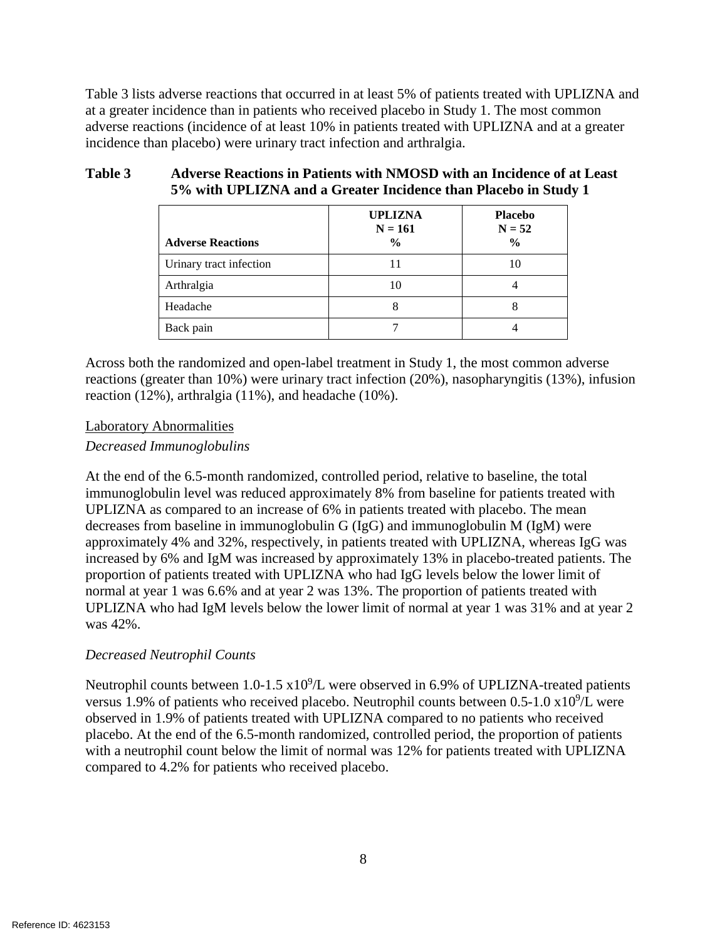Table 3 lists adverse reactions that occurred in at least 5% of patients treated with UPLIZNA and incidence than placebo) were urinary tract infection and arthralgia. at a greater incidence than in patients who received placebo in Study 1. The most common adverse reactions (incidence of at least 10% in patients treated with UPLIZNA and at a greater

| <b>Adverse Reactions</b> | <b>UPLIZNA</b><br>$N = 161$<br>$\frac{6}{9}$ | <b>Placebo</b><br>$N = 52$<br>$\frac{6}{9}$ |
|--------------------------|----------------------------------------------|---------------------------------------------|
| Urinary tract infection  |                                              |                                             |
| Arthralgia               |                                              |                                             |
| Headache                 |                                              |                                             |
| Back pain                |                                              |                                             |

# **Table 3 Adverse Reactions in Patients with NMOSD with an Incidence of at Least 5% with UPLIZNA and a Greater Incidence than Placebo in Study 1**

Across both the randomized and open-label treatment in Study 1, the most common adverse reactions (greater than 10%) were urinary tract infection (20%), nasopharyngitis (13%), infusion reaction (12%), arthralgia (11%), and headache (10%).

#### Laboratory Abnormalities

### *Decreased Immunoglobulins*

 increased by 6% and IgM was increased by approximately 13% in placebo-treated patients. The normal at year 1 was 6.6% and at year 2 was 13%. The proportion of patients treated with UPLIZNA who had IgM levels below the lower limit of normal at year 1 was 31% and at year 2 At the end of the 6.5-month randomized, controlled period, relative to baseline, the total immunoglobulin level was reduced approximately 8% from baseline for patients treated with UPLIZNA as compared to an increase of 6% in patients treated with placebo. The mean decreases from baseline in immunoglobulin G (IgG) and immunoglobulin M (IgM) were approximately 4% and 32%, respectively, in patients treated with UPLIZNA, whereas IgG was proportion of patients treated with UPLIZNA who had IgG levels below the lower limit of was 42%.

# *Decreased Neutrophil Counts*

 with a neutrophil count below the limit of normal was 12% for patients treated with UPLIZNA compared to 4.2% for patients who received placebo. Neutrophil counts between  $1.0$ - $1.5 \times 10^9$ /L were observed in 6.9% of UPLIZNA-treated patients versus 1.9% of patients who received placebo. Neutrophil counts between  $0.5$ -1.0  $x10<sup>9</sup>/L$  were observed in 1.9% of patients treated with UPLIZNA compared to no patients who received placebo. At the end of the 6.5-month randomized, controlled period, the proportion of patients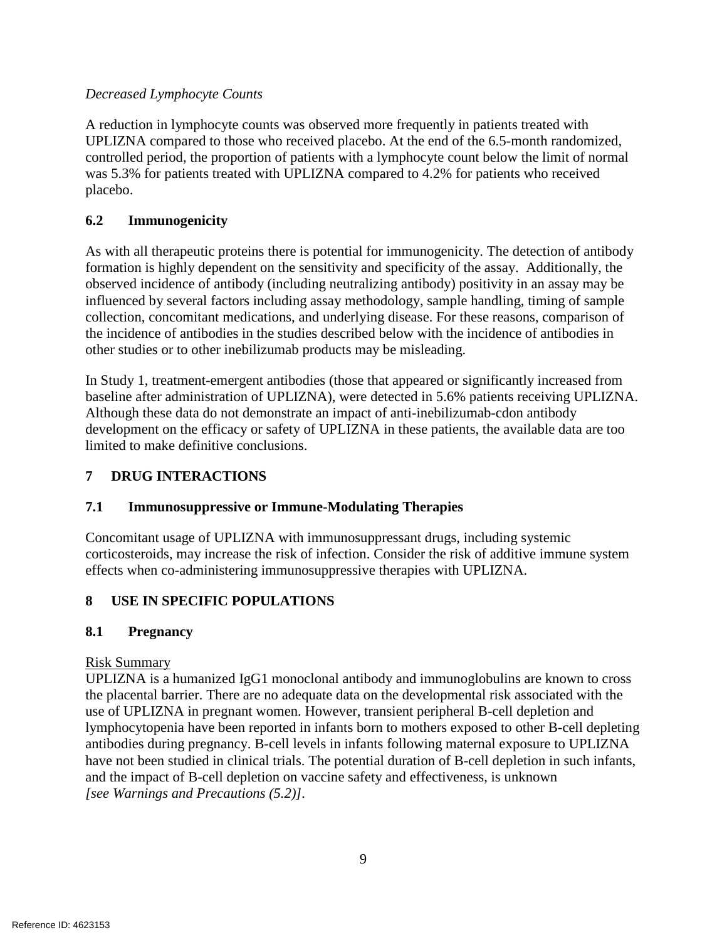# *Decreased Lymphocyte Counts*

A reduction in lymphocyte counts was observed more frequently in patients treated with UPLIZNA compared to those who received placebo. At the end of the 6.5-month randomized, controlled period, the proportion of patients with a lymphocyte count below the limit of normal was 5.3% for patients treated with UPLIZNA compared to 4.2% for patients who received placebo.

# **6.2 Immunogenicity**

 influenced by several factors including assay methodology, sample handling, timing of sample other studies or to other inebilizumab products may be misleading. As with all therapeutic proteins there is potential for immunogenicity. The detection of antibody formation is highly dependent on the sensitivity and specificity of the assay. Additionally, the observed incidence of antibody (including neutralizing antibody) positivity in an assay may be collection, concomitant medications, and underlying disease. For these reasons, comparison of the incidence of antibodies in the studies described below with the incidence of antibodies in

 development on the efficacy or safety of UPLIZNA in these patients, the available data are too In Study 1, treatment-emergent antibodies (those that appeared or significantly increased from baseline after administration of UPLIZNA), were detected in 5.6% patients receiving UPLIZNA. Although these data do not demonstrate an impact of anti-inebilizumab-cdon antibody limited to make definitive conclusions.

# **7 DRUG INTERACTIONS**

# **7.1 Immunosuppressive or Immune-Modulating Therapies**

Concomitant usage of UPLIZNA with immunosuppressant drugs, including systemic corticosteroids, may increase the risk of infection. Consider the risk of additive immune system effects when co-administering immunosuppressive therapies with UPLIZNA.

# **8 USE IN SPECIFIC POPULATIONS**

# **8.1 Pregnancy**

# Risk Summary

 use of UPLIZNA in pregnant women. However, transient peripheral B-cell depletion and UPLIZNA is a humanized IgG1 monoclonal antibody and immunoglobulins are known to cross the placental barrier. There are no adequate data on the developmental risk associated with the lymphocytopenia have been reported in infants born to mothers exposed to other B-cell depleting antibodies during pregnancy. B-cell levels in infants following maternal exposure to UPLIZNA have not been studied in clinical trials. The potential duration of B-cell depletion in such infants, and the impact of B-cell depletion on vaccine safety and effectiveness, is unknown *[see Warnings and Precautions (5.2)].*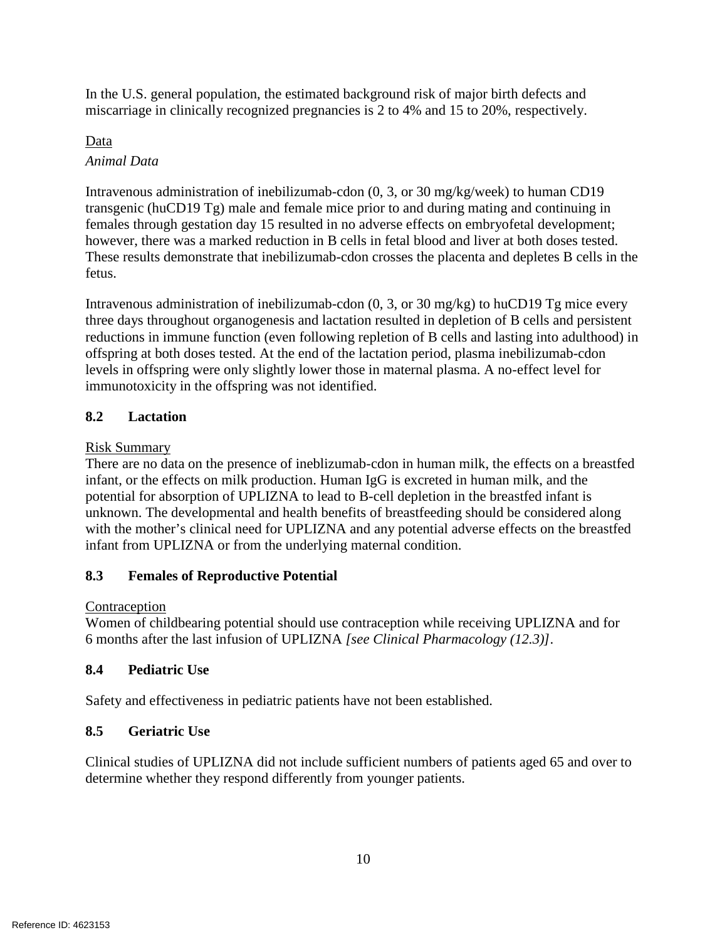miscarriage in clinically recognized pregnancies is 2 to 4% and 15 to 20%, respectively. In the U.S. general population, the estimated background risk of major birth defects and

# Data

# *Animal Data*

 These results demonstrate that inebilizumab-cdon crosses the placenta and depletes B cells in the Intravenous administration of inebilizumab-cdon (0, 3, or 30 mg/kg/week) to human CD19 transgenic (huCD19 Tg) male and female mice prior to and during mating and continuing in females through gestation day 15 resulted in no adverse effects on embryofetal development; however, there was a marked reduction in B cells in fetal blood and liver at both doses tested. fetus.

 Intravenous administration of inebilizumab-cdon (0, 3, or 30 mg/kg) to huCD19 Tg mice every three days throughout organogenesis and lactation resulted in depletion of B cells and persistent reductions in immune function (even following repletion of B cells and lasting into adulthood) in offspring at both doses tested. At the end of the lactation period, plasma inebilizumab-cdon levels in offspring were only slightly lower those in maternal plasma. A no-effect level for immunotoxicity in the offspring was not identified.

# **8.2 Lactation**

# Risk Summary

 potential for absorption of UPLIZNA to lead to B-cell depletion in the breastfed infant is with the mother's clinical need for UPLIZNA and any potential adverse effects on the breastfed There are no data on the presence of ineblizumab-cdon in human milk, the effects on a breastfed infant, or the effects on milk production. Human IgG is excreted in human milk, and the unknown. The developmental and health benefits of breastfeeding should be considered along infant from UPLIZNA or from the underlying maternal condition.

# **8.3 Females of Reproductive Potential**

# **Contraception**

Women of childbearing potential should use contraception while receiving UPLIZNA and for 6 months after the last infusion of UPLIZNA *[see Clinical Pharmacology (12.3)]*.

# **8.4 Pediatric Use**

Safety and effectiveness in pediatric patients have not been established.

# **8.5 Geriatric Use**

 determine whether they respond differently from younger patients. Clinical studies of UPLIZNA did not include sufficient numbers of patients aged 65 and over to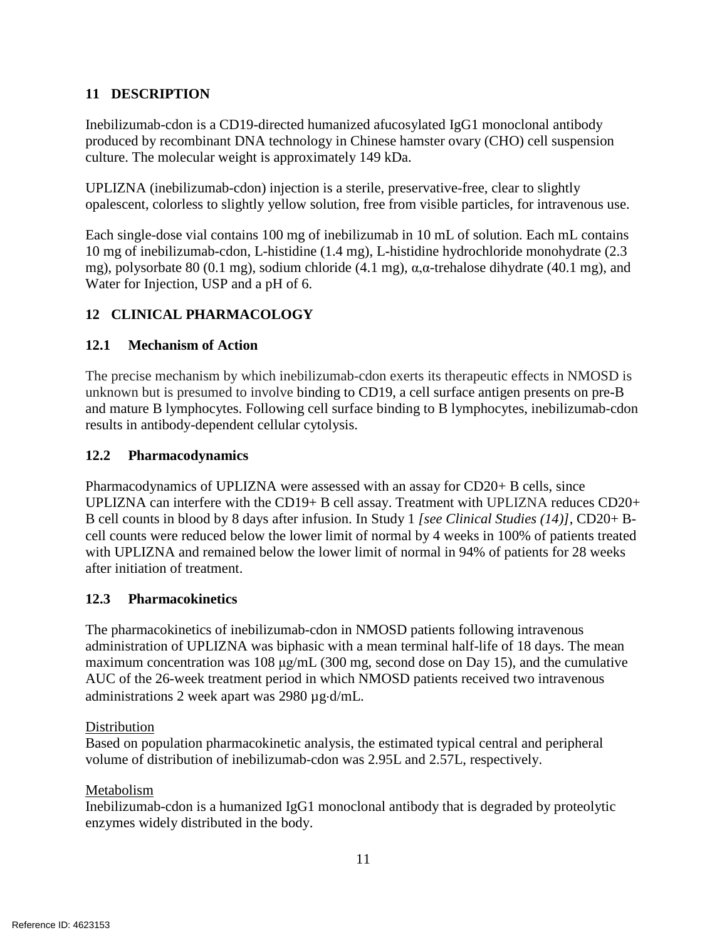# **11 DESCRIPTION**

Inebilizumab-cdon is a CD19-directed humanized afucosylated IgG1 monoclonal antibody produced by recombinant DNA technology in Chinese hamster ovary (CHO) cell suspension culture. The molecular weight is approximately 149 kDa.

UPLIZNA (inebilizumab-cdon) injection is a sterile, preservative-free, clear to slightly opalescent, colorless to slightly yellow solution, free from visible particles, for intravenous use.

 Each single-dose vial contains 100 mg of inebilizumab in 10 mL of solution. Each mL contains 10 mg of inebilizumab-cdon, L-histidine (1.4 mg), L-histidine hydrochloride monohydrate (2.3 mg), polysorbate 80 (0.1 mg), sodium chloride (4.1 mg), α,α-trehalose dihydrate (40.1 mg), and Water for Injection, USP and a pH of 6.

# **12 CLINICAL PHARMACOLOGY**

# **12.1 Mechanism of Action**

The precise mechanism by which inebilizumab-cdon exerts its therapeutic effects in NMOSD is unknown but is presumed to involve binding to CD19, a cell surface antigen presents on pre-B and mature B lymphocytes. Following cell surface binding to B lymphocytes, inebilizumab-cdon results in antibody-dependent cellular cytolysis.

# **12.2 Pharmacodynamics**

Pharmacodynamics of UPLIZNA were assessed with an assay for CD20+ B cells, since UPLIZNA can interfere with the CD19+ B cell assay. Treatment with UPLIZNA reduces CD20+ B cell counts in blood by 8 days after infusion. In Study 1 *[see Clinical Studies (14)]*, CD20+ Bcell counts were reduced below the lower limit of normal by 4 weeks in 100% of patients treated with UPLIZNA and remained below the lower limit of normal in 94% of patients for 28 weeks after initiation of treatment.

# **12.3 Pharmacokinetics**

 administrations 2 week apart was 2980 µg⋅d/mL. The pharmacokinetics of inebilizumab-cdon in NMOSD patients following intravenous administration of UPLIZNA was biphasic with a mean terminal half-life of 18 days. The mean maximum concentration was 108 μg/mL (300 mg, second dose on Day 15), and the cumulative AUC of the 26-week treatment period in which NMOSD patients received two intravenous

# **Distribution**

Based on population pharmacokinetic analysis, the estimated typical central and peripheral volume of distribution of inebilizumab-cdon was 2.95L and 2.57L, respectively.

# Metabolism

Inebilizumab-cdon is a humanized IgG1 monoclonal antibody that is degraded by proteolytic enzymes widely distributed in the body.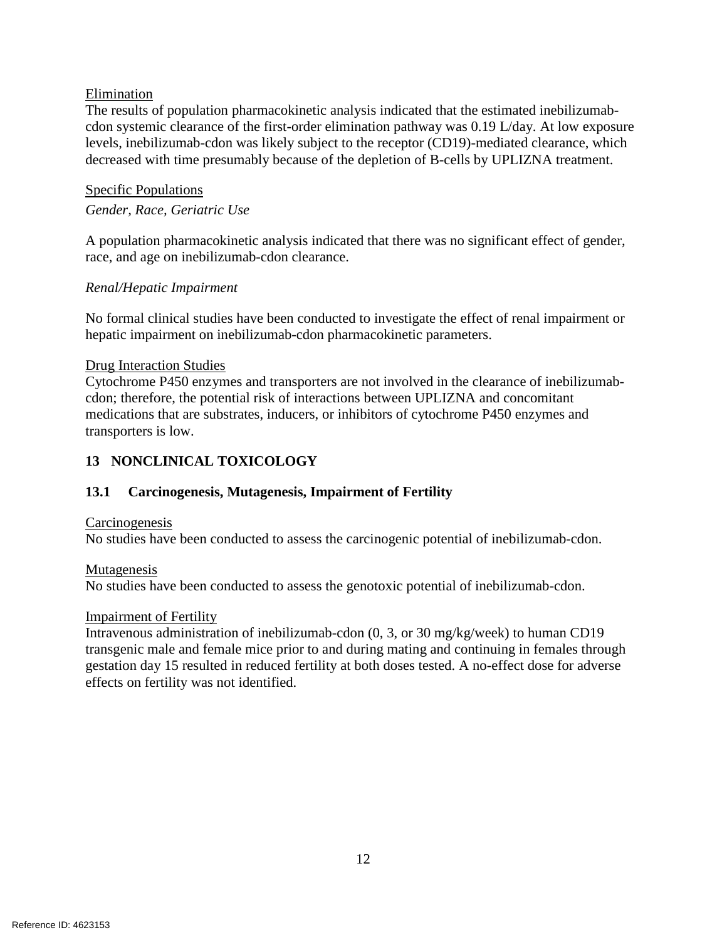### Elimination

 The results of population pharmacokinetic analysis indicated that the estimated inebilizumab- cdon systemic clearance of the first-order elimination pathway was 0.19 L/day. At low exposure levels, inebilizumab-cdon was likely subject to the receptor (CD19)-mediated clearance, which decreased with time presumably because of the depletion of B-cells by UPLIZNA treatment.

#### Specific Populations

*Gender, Race, Geriatric Use* 

 A population pharmacokinetic analysis indicated that there was no significant effect of gender, race, and age on inebilizumab-cdon clearance.

### *Renal/Hepatic Impairment*

No formal clinical studies have been conducted to investigate the effect of renal impairment or hepatic impairment on inebilizumab-cdon pharmacokinetic parameters.

#### Drug Interaction Studies

 Cytochrome P450 enzymes and transporters are not involved in the clearance of inebilizumab- transporters is low. cdon; therefore, the potential risk of interactions between UPLIZNA and concomitant medications that are substrates, inducers, or inhibitors of cytochrome P450 enzymes and

# **13 NONCLINICAL TOXICOLOGY**

### **13.1 Carcinogenesis, Mutagenesis, Impairment of Fertility**

#### **Carcinogenesis**

No studies have been conducted to assess the carcinogenic potential of inebilizumab-cdon.

#### Mutagenesis

No studies have been conducted to assess the genotoxic potential of inebilizumab-cdon.

#### **Impairment of Fertility**

Intravenous administration of inebilizumab-cdon (0, 3, or 30 mg/kg/week) to human CD19 transgenic male and female mice prior to and during mating and continuing in females through gestation day 15 resulted in reduced fertility at both doses tested. A no-effect dose for adverse effects on fertility was not identified.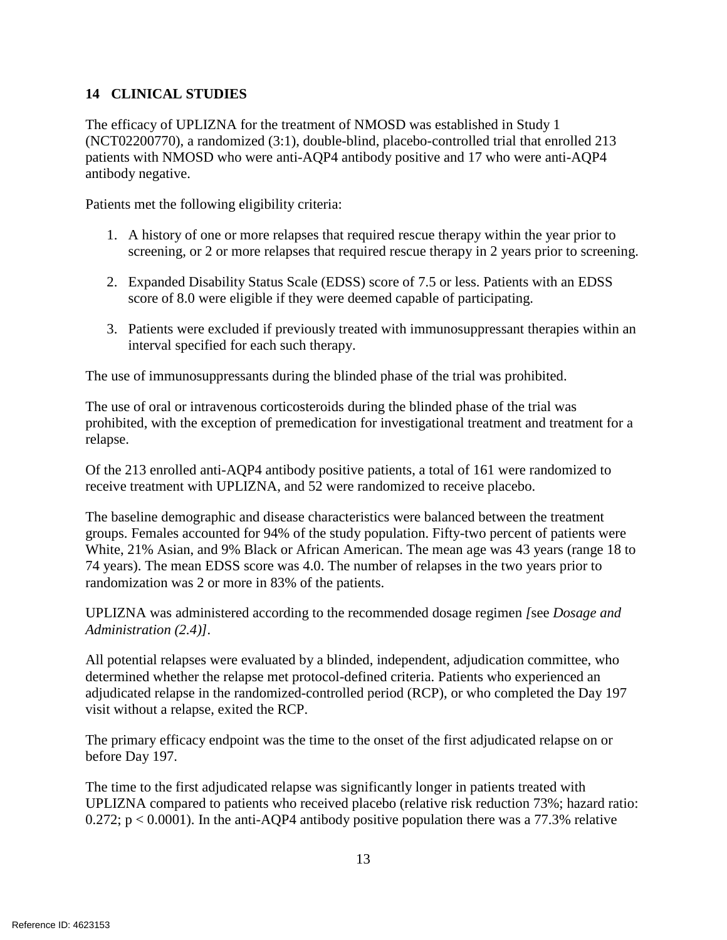# **14 CLINICAL STUDIES**

 The efficacy of UPLIZNA for the treatment of NMOSD was established in Study 1 (NCT02200770), a randomized (3:1), double-blind, placebo-controlled trial that enrolled 213 patients with NMOSD who were anti-AQP4 antibody positive and 17 who were anti-AQP4 antibody negative.

Patients met the following eligibility criteria:

- 1. A history of one or more relapses that required rescue therapy within the year prior to screening, or 2 or more relapses that required rescue therapy in 2 years prior to screening.
- 2. Expanded Disability Status Scale (EDSS) score of 7.5 or less. Patients with an EDSS score of 8.0 were eligible if they were deemed capable of participating.
- 3. Patients were excluded if previously treated with immunosuppressant therapies within an interval specified for each such therapy.

The use of immunosuppressants during the blinded phase of the trial was prohibited.

The use of oral or intravenous corticosteroids during the blinded phase of the trial was prohibited, with the exception of premedication for investigational treatment and treatment for a relapse.

 Of the 213 enrolled anti-AQP4 antibody positive patients, a total of 161 were randomized to receive treatment with UPLIZNA, and 52 were randomized to receive placebo.

 groups. Females accounted for 94% of the study population. Fifty-two percent of patients were White, 21% Asian, and 9% Black or African American. The mean age was 43 years (range 18 to The baseline demographic and disease characteristics were balanced between the treatment 74 years). The mean EDSS score was 4.0. The number of relapses in the two years prior to randomization was 2 or more in 83% of the patients.

 UPLIZNA was administered according to the recommended dosage regimen *[*see *Dosage and Administration (2.4)].* 

 adjudicated relapse in the randomized-controlled period (RCP), or who completed the Day 197 visit without a relapse, exited the RCP. All potential relapses were evaluated by a blinded, independent, adjudication committee, who determined whether the relapse met protocol-defined criteria. Patients who experienced an

 before Day 197. The primary efficacy endpoint was the time to the onset of the first adjudicated relapse on or

0.272;  $p < 0.0001$ ). In the anti-AQP4 antibody positive population there was a 77.3% relative The time to the first adjudicated relapse was significantly longer in patients treated with UPLIZNA compared to patients who received placebo (relative risk reduction 73%; hazard ratio: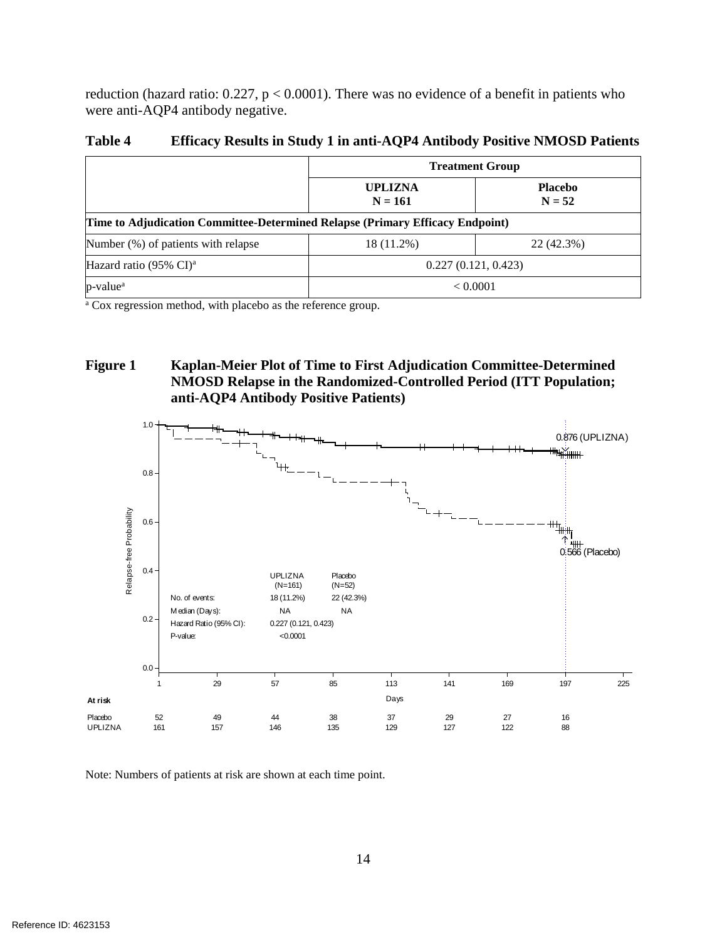reduction (hazard ratio:  $0.227$ ,  $p < 0.0001$ ). There was no evidence of a benefit in patients who were anti-AQP4 antibody negative.

| Table 4 |  |  |  |  | Efficacy Results in Study 1 in anti-AQP4 Antibody Positive NMOSD Patients |
|---------|--|--|--|--|---------------------------------------------------------------------------|
|---------|--|--|--|--|---------------------------------------------------------------------------|

|                                                                               | <b>Treatment Group</b>      |                            |  |  |  |
|-------------------------------------------------------------------------------|-----------------------------|----------------------------|--|--|--|
|                                                                               | <b>UPLIZNA</b><br>$N = 161$ | <b>Placebo</b><br>$N = 52$ |  |  |  |
| Time to Adjudication Committee-Determined Relapse (Primary Efficacy Endpoint) |                             |                            |  |  |  |
| Number (%) of patients with relapse                                           | 18 (11.2%)                  | 22 (42.3%)                 |  |  |  |
| Hazard ratio (95% CI) <sup>a</sup>                                            | 0.227(0.121, 0.423)         |                            |  |  |  |
| p-value <sup>a</sup>                                                          | < 0.0001                    |                            |  |  |  |

a Cox regression method, with placebo as the reference group.

### **Figure 1 Kaplan-Meier Plot of Time to First Adjudication Committee-Determined NMOSD Relapse in the Randomized-Controlled Period (ITT Population; anti-AQP4 Antibody Positive Patients)**



Note: Numbers of patients at risk are shown at each time point.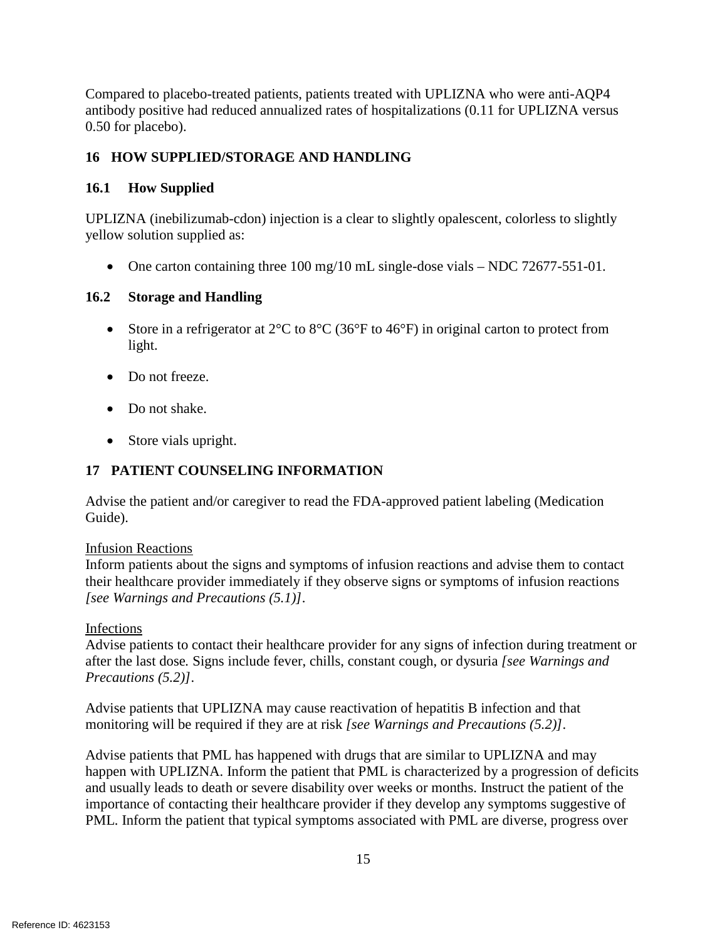antibody positive had reduced annualized rates of hospitalizations (0.11 for UPLIZNA versus Compared to placebo-treated patients, patients treated with UPLIZNA who were anti-AQP4 0.50 for placebo).

# **16 HOW SUPPLIED/STORAGE AND HANDLING**

### **16.1 How Supplied**

 yellow solution supplied as: UPLIZNA (inebilizumab-cdon) injection is a clear to slightly opalescent, colorless to slightly

• One carton containing three 100 mg/10 mL single-dose vials – NDC 72677-551-01.

### **16.2 Storage and Handling**

- Store in a refrigerator at  $2^{\circ}$ C to  $8^{\circ}$ C (36 $^{\circ}$ F to 46 $^{\circ}$ F) in original carton to protect from light.
- Do not freeze.
- Do not shake.
- Store vials upright.

# **17 PATIENT COUNSELING INFORMATION**

Advise the patient and/or caregiver to read the FDA-approved patient labeling (Medication Guide).

#### Infusion Reactions

Inform patients about the signs and symptoms of infusion reactions and advise them to contact their healthcare provider immediately if they observe signs or symptoms of infusion reactions *[see Warnings and Precautions (5.1)]*.

#### Infections

Advise patients to contact their healthcare provider for any signs of infection during treatment or after the last dose*.* Signs include fever, chills, constant cough, or dysuria *[see Warnings and Precautions (5.2)]*.

Advise patients that UPLIZNA may cause reactivation of hepatitis B infection and that monitoring will be required if they are at risk *[see Warnings and Precautions (5.2)]*.

 PML. Inform the patient that typical symptoms associated with PML are diverse, progress over Advise patients that PML has happened with drugs that are similar to UPLIZNA and may happen with UPLIZNA. Inform the patient that PML is characterized by a progression of deficits and usually leads to death or severe disability over weeks or months. Instruct the patient of the importance of contacting their healthcare provider if they develop any symptoms suggestive of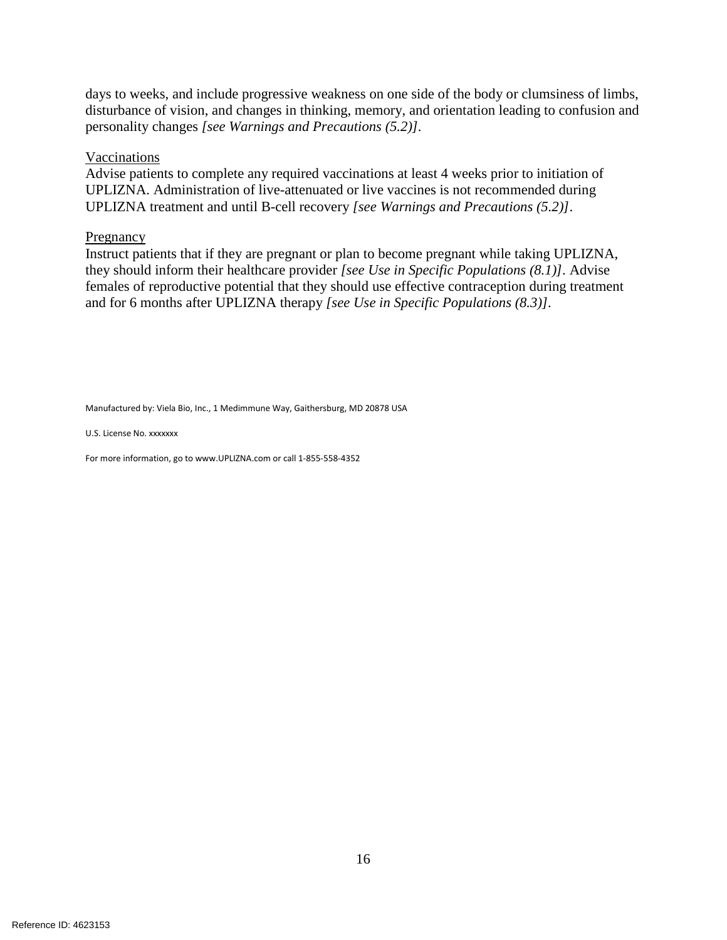days to weeks, and include progressive weakness on one side of the body or clumsiness of limbs, disturbance of vision, and changes in thinking, memory, and orientation leading to confusion and personality changes *[see Warnings and Precautions (5.2)].* 

#### Vaccinations

Advise patients to complete any required vaccinations at least 4 weeks prior to initiation of UPLIZNA. Administration of live-attenuated or live vaccines is not recommended during UPLIZNA treatment and until B-cell recovery *[see Warnings and Precautions (5.2)]*.

#### Pregnancy

Instruct patients that if they are pregnant or plan to become pregnant while taking UPLIZNA, they should inform their healthcare provider *[see Use in Specific Populations (8.1)].* Advise females of reproductive potential that they should use effective contraception during treatment and for 6 months after UPLIZNA therapy *[see Use in Specific Populations (8.3)].* 

Manufactured by: Viela Bio, Inc., 1 Medimmune Way, Gaithersburg, MD 20878 USA

U.S. License No. xxxxxxx

For more information, go to www.UPLIZNA.com or call 1-855-558-4352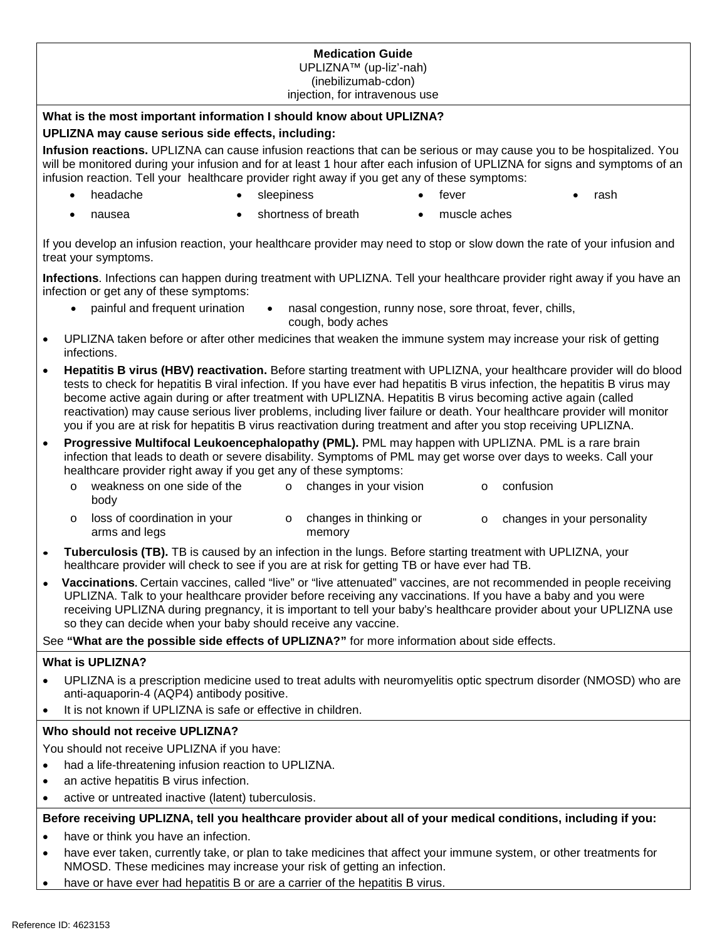#### **Medication Guide**  UPLIZNA™ (up-liz'-nah) (inebilizumab-cdon) injection, for intravenous use

#### **What is the most important information I should know about UPLIZNA?**

#### **UPLIZNA may cause serious side effects, including:**

 infusion reaction. Tell your healthcare provider right away if you get any of these symptoms: **Infusion reactions.** UPLIZNA can cause infusion reactions that can be serious or may cause you to be hospitalized. You will be monitored during your infusion and for at least 1 hour after each infusion of UPLIZNA for signs and symptoms of an

- headache sleepiness fever rash
	-
	- nausea shortness of breath muscle aches
- If you develop an infusion reaction, your healthcare provider may need to stop or slow down the rate of your infusion and treat your symptoms.

**Infections**. Infections can happen during treatment with UPLIZNA. Tell your healthcare provider right away if you have an infection or get any of these symptoms:

- painful and frequent urination nasal congestion, runny nose, sore throat, fever, chills,
	- cough, body aches
- • UPLIZNA taken before or after other medicines that weaken the immune system may increase your risk of getting infections.
- tests to check for hepatitis B viral infection. If you have ever had hepatitis B virus infection, the hepatitis B virus may reactivation) may cause serious liver problems, including liver failure or death. Your healthcare provider will monitor • **Hepatitis B virus (HBV) reactivation.** Before starting treatment with UPLIZNA, your healthcare provider will do blood become active again during or after treatment with UPLIZNA. Hepatitis B virus becoming active again (called you if you are at risk for hepatitis B virus reactivation during treatment and after you stop receiving UPLIZNA.
- infection that leads to death or severe disability. Symptoms of PML may get worse over days to weeks. Call your healthcare provider right away if you get any of these symptoms: • **Progressive Multifocal Leukoencephalopathy (PML).** PML may happen with UPLIZNA. PML is a rare brain
	- o weakness on one side of the body o changes in your vision o confusion
	- o changes in your personality o loss of coordination in your arms and legs o changes in thinking or memory
- **Tuberculosis (TB).** TB is caused by an infection in the lungs. Before starting treatment with UPLIZNA, your healthcare provider will check to see if you are at risk for getting TB or have ever had TB.
- **Vaccinations.** Certain vaccines, called "live" or "live attenuated" vaccines, are not recommended in people receiving UPLIZNA. Talk to your healthcare provider before receiving any vaccinations. If you have a baby and you were receiving UPLIZNA during pregnancy, it is important to tell your baby's healthcare provider about your UPLIZNA use so they can decide when your baby should receive any vaccine.

See **"What are the possible side effects of UPLIZNA?"** for more information about side effects.

#### **What is UPLIZNA?**

- UPLIZNA is a prescription medicine used to treat adults with neuromyelitis optic spectrum disorder (NMOSD) who are anti-aquaporin-4 (AQP4) antibody positive.
- It is not known if UPLIZNA is safe or effective in children.

#### **Who should not receive UPLIZNA?**

You should not receive UPLIZNA if you have:

- had a life-threatening infusion reaction to UPLIZNA.
- an active hepatitis B virus infection.
- active or untreated inactive (latent) tuberculosis.

#### **Before receiving UPLIZNA, tell you healthcare provider about all of your medical conditions, including if you:**

- have or think you have an infection.
- have ever taken, currently take, or plan to take medicines that affect your immune system, or other treatments for NMOSD. These medicines may increase your risk of getting an infection.
- have or have ever had hepatitis B or are a carrier of the hepatitis B virus.